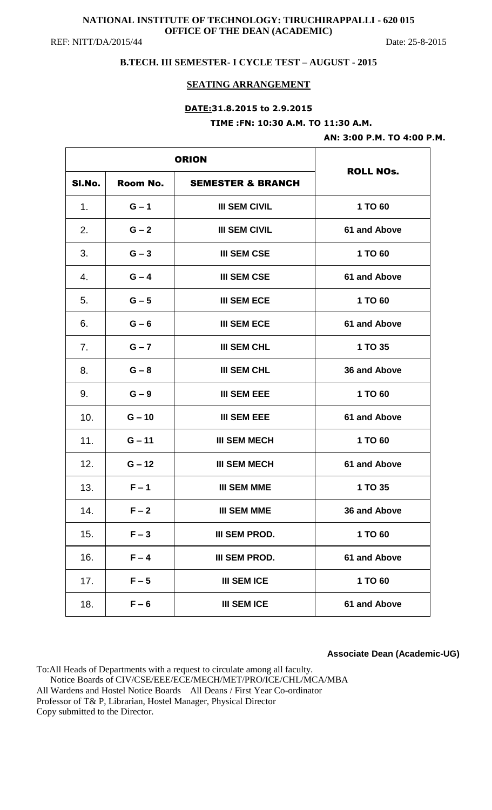#### **NATIONAL INSTITUTE OF TECHNOLOGY: TIRUCHIRAPPALLI - 620 015 OFFICE OF THE DEAN (ACADEMIC)**  REF: NITT/DA/2015/44 Date: 25-8-2015

## **B.TECH. III SEMESTER- I CYCLE TEST – AUGUST - 2015**

#### **SEATING ARRANGEMENT**

# **DATE:31.8.2015 to 2.9.2015 TIME :FN: 10:30 A.M. TO 11:30 A.M.**

#### **AN: 3:00 P.M. TO 4:00 P.M.**

| SI.No. | Room No. | <b>SEMESTER &amp; BRANCH</b> | <b>ROLL NOS.</b> |
|--------|----------|------------------------------|------------------|
| 1.     | $G - 1$  | <b>III SEM CIVIL</b>         | 1 TO 60          |
| 2.     | $G - 2$  | <b>III SEM CIVIL</b>         | 61 and Above     |
| 3.     | $G - 3$  | <b>III SEM CSE</b>           | 1 TO 60          |
| 4.     | $G - 4$  | <b>III SEM CSE</b>           | 61 and Above     |
| 5.     | $G - 5$  | <b>III SEM ECE</b>           | 1 TO 60          |
| 6.     | $G - 6$  | <b>III SEM ECE</b>           | 61 and Above     |
| 7.     | $G - 7$  | <b>III SEM CHL</b>           | 1 TO 35          |
| 8.     | $G - 8$  | <b>III SEM CHL</b>           | 36 and Above     |
| 9.     | $G - 9$  | <b>III SEM EEE</b>           | 1 TO 60          |
| 10.    | $G - 10$ | <b>III SEM EEE</b>           | 61 and Above     |
| 11.    | $G - 11$ | <b>III SEM MECH</b>          | 1 TO 60          |
| 12.    | $G - 12$ | <b>III SEM MECH</b>          | 61 and Above     |
| 13.    | $F - 1$  | <b>III SEM MME</b>           | 1 TO 35          |
| 14.    | $F - 2$  | <b>III SEM MME</b>           | 36 and Above     |
| 15.    | $F - 3$  | III SEM PROD.                | 1 TO 60          |
| 16.    | $F - 4$  | <b>III SEM PROD.</b>         | 61 and Above     |
| 17.    | $F - 5$  | <b>III SEM ICE</b>           | 1 TO 60          |
| 18.    | $F - 6$  | <b>III SEM ICE</b>           | 61 and Above     |

#### **Associate Dean (Academic-UG)**

To:All Heads of Departments with a request to circulate among all faculty. Notice Boards of CIV/CSE/EEE/ECE/MECH/MET/PRO/ICE/CHL/MCA/MBA All Wardens and Hostel Notice Boards All Deans / First Year Co-ordinator Professor of T& P, Librarian, Hostel Manager, Physical Director Copy submitted to the Director.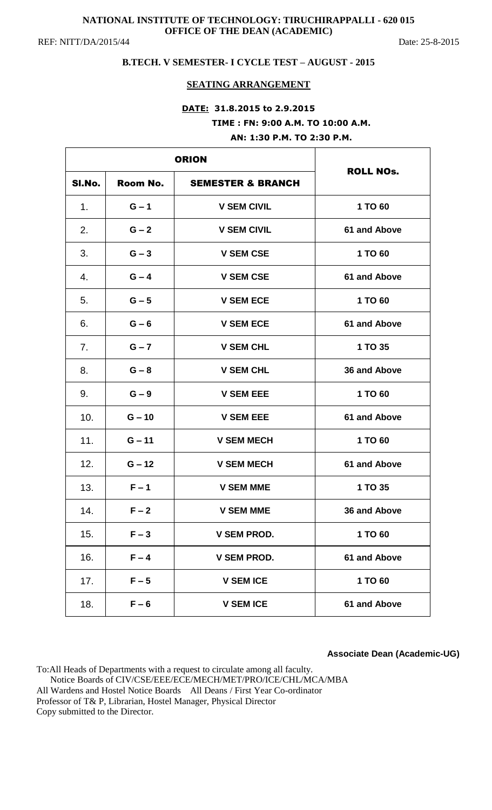# **NATIONAL INSTITUTE OF TECHNOLOGY: TIRUCHIRAPPALLI - 620 015 OFFICE OF THE DEAN (ACADEMIC)**

REF: NITT/DA/2015/44 Date: 25-8-2015

## **B.TECH. V SEMESTER- I CYCLE TEST – AUGUST - 2015**

### **SEATING ARRANGEMENT**

# **DATE: 31.8.2015 to 2.9.2015 TIME : FN: 9:00 A.M. TO 10:00 A.M.**

**AN: 1:30 P.M. TO 2:30 P.M.**

| SI.No. | Room No. | <b>SEMESTER &amp; BRANCH</b> | <b>ROLL NOs.</b> |
|--------|----------|------------------------------|------------------|
| 1.     | $G - 1$  | <b>V SEM CIVIL</b>           | 1 TO 60          |
| 2.     | $G - 2$  | <b>V SEM CIVIL</b>           | 61 and Above     |
| 3.     | $G - 3$  | <b>V SEM CSE</b>             | 1 TO 60          |
| 4.     | $G - 4$  | <b>V SEM CSE</b>             | 61 and Above     |
| 5.     | $G - 5$  | <b>V SEM ECE</b>             | 1 TO 60          |
| 6.     | $G - 6$  | <b>V SEM ECE</b>             | 61 and Above     |
| 7.     | $G - 7$  | <b>V SEM CHL</b>             | 1 TO 35          |
| 8.     | $G - 8$  | <b>V SEM CHL</b>             | 36 and Above     |
| 9.     | $G - 9$  | <b>V SEM EEE</b>             | 1 TO 60          |
| 10.    | $G - 10$ | <b>V SEM EEE</b>             | 61 and Above     |
| 11.    | $G - 11$ | <b>V SEM MECH</b>            | 1 TO 60          |
| 12.    | $G - 12$ | <b>V SEM MECH</b>            | 61 and Above     |
| 13.    | $F - 1$  | <b>V SEM MME</b>             | 1 TO 35          |
| 14.    | $F - 2$  | <b>V SEM MME</b>             | 36 and Above     |
| 15.    | $F - 3$  | <b>V SEM PROD.</b>           | 1 TO 60          |
| 16.    | $F - 4$  | <b>V SEM PROD.</b>           | 61 and Above     |
| 17.    | $F - 5$  | <b>V SEM ICE</b>             | 1 TO 60          |
| 18.    | $F - 6$  | <b>V SEM ICE</b>             | 61 and Above     |

**Associate Dean (Academic-UG)**

To:All Heads of Departments with a request to circulate among all faculty. Notice Boards of CIV/CSE/EEE/ECE/MECH/MET/PRO/ICE/CHL/MCA/MBA All Wardens and Hostel Notice Boards All Deans / First Year Co-ordinator Professor of T& P, Librarian, Hostel Manager, Physical Director Copy submitted to the Director.